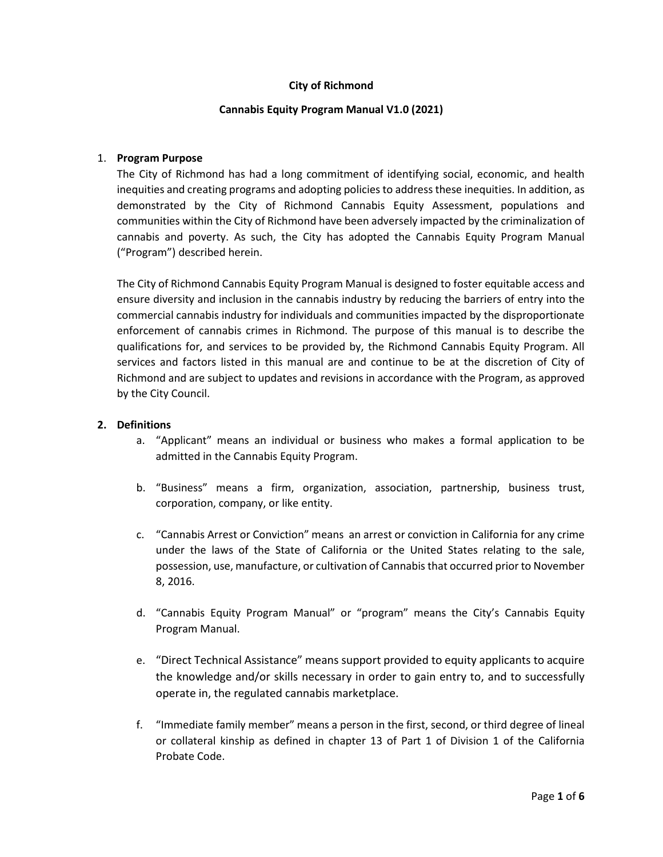### **City of Richmond**

#### **Cannabis Equity Program Manual V1.0 (2021)**

#### 1. **Program Purpose**

The City of Richmond has had a long commitment of identifying social, economic, and health inequities and creating programs and adopting policies to address these inequities. In addition, as demonstrated by the City of Richmond Cannabis Equity Assessment, populations and communities within the City of Richmond have been adversely impacted by the criminalization of cannabis and poverty. As such, the City has adopted the Cannabis Equity Program Manual ("Program") described herein.

The City of Richmond Cannabis Equity Program Manual is designed to foster equitable access and ensure diversity and inclusion in the cannabis industry by reducing the barriers of entry into the commercial cannabis industry for individuals and communities impacted by the disproportionate enforcement of cannabis crimes in Richmond. The purpose of this manual is to describe the qualifications for, and services to be provided by, the Richmond Cannabis Equity Program. All services and factors listed in this manual are and continue to be at the discretion of City of Richmond and are subject to updates and revisions in accordance with the Program, as approved by the City Council.

#### **2. Definitions**

- a. "Applicant" means an individual or business who makes a formal application to be admitted in the Cannabis Equity Program.
- b. "Business" means a firm, organization, association, partnership, business trust, corporation, company, or like entity.
- c. "Cannabis Arrest or Conviction" means an arrest or conviction in California for any crime under the laws of the State of California or the United States relating to the sale, possession, use, manufacture, or cultivation of Cannabis that occurred prior to November 8, 2016.
- d. "Cannabis Equity Program Manual" or "program" means the City's Cannabis Equity Program Manual.
- e. "Direct Technical Assistance" means support provided to equity applicants to acquire the knowledge and/or skills necessary in order to gain entry to, and to successfully operate in, the regulated cannabis marketplace.
- f. "Immediate family member" means a person in the first, second, or third degree of lineal or collateral kinship as defined in chapter 13 of Part 1 of Division 1 of the California Probate Code.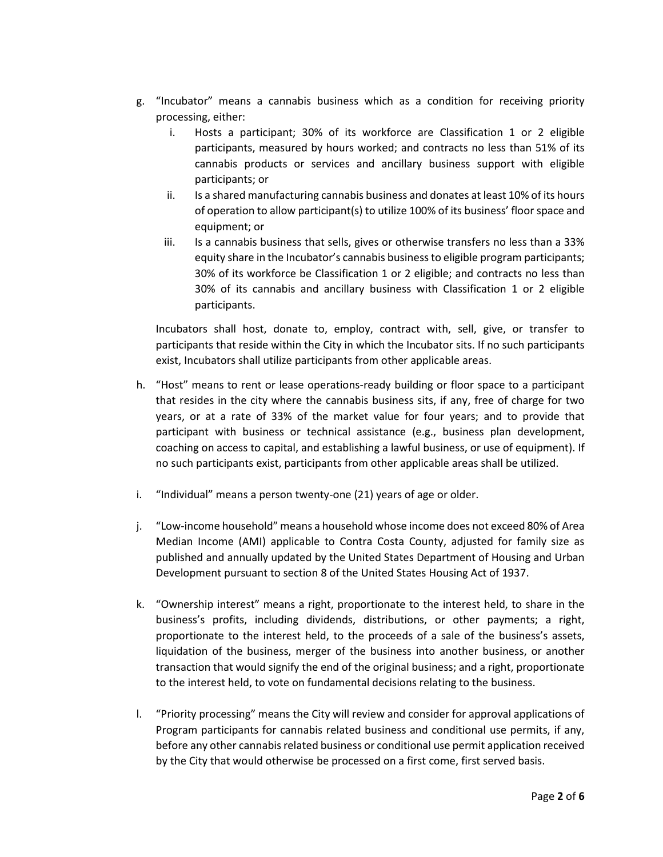- g. "Incubator" means a cannabis business which as a condition for receiving priority processing, either:
	- i. Hosts a participant; 30% of its workforce are Classification 1 or 2 eligible participants, measured by hours worked; and contracts no less than 51% of its cannabis products or services and ancillary business support with eligible participants; or
	- ii. Is a shared manufacturing cannabis business and donates at least 10% of its hours of operation to allow participant(s) to utilize 100% of its business' floor space and equipment; or
	- iii. Is a cannabis business that sells, gives or otherwise transfers no less than a 33% equity share in the Incubator's cannabis business to eligible program participants; 30% of its workforce be Classification 1 or 2 eligible; and contracts no less than 30% of its cannabis and ancillary business with Classification 1 or 2 eligible participants.

Incubators shall host, donate to, employ, contract with, sell, give, or transfer to participants that reside within the City in which the Incubator sits. If no such participants exist, Incubators shall utilize participants from other applicable areas.

- h. "Host" means to rent or lease operations-ready building or floor space to a participant that resides in the city where the cannabis business sits, if any, free of charge for two years, or at a rate of 33% of the market value for four years; and to provide that participant with business or technical assistance (e.g., business plan development, coaching on access to capital, and establishing a lawful business, or use of equipment). If no such participants exist, participants from other applicable areas shall be utilized.
- i. "Individual" means a person twenty-one (21) years of age or older.
- j. "Low-income household" means a household whose income does not exceed 80% of Area Median Income (AMI) applicable to Contra Costa County, adjusted for family size as published and annually updated by the United States Department of Housing and Urban Development pursuant to section 8 of the United States Housing Act of 1937.
- k. "Ownership interest" means a right, proportionate to the interest held, to share in the business's profits, including dividends, distributions, or other payments; a right, proportionate to the interest held, to the proceeds of a sale of the business's assets, liquidation of the business, merger of the business into another business, or another transaction that would signify the end of the original business; and a right, proportionate to the interest held, to vote on fundamental decisions relating to the business.
- l. "Priority processing" means the City will review and consider for approval applications of Program participants for cannabis related business and conditional use permits, if any, before any other cannabis related business or conditional use permit application received by the City that would otherwise be processed on a first come, first served basis.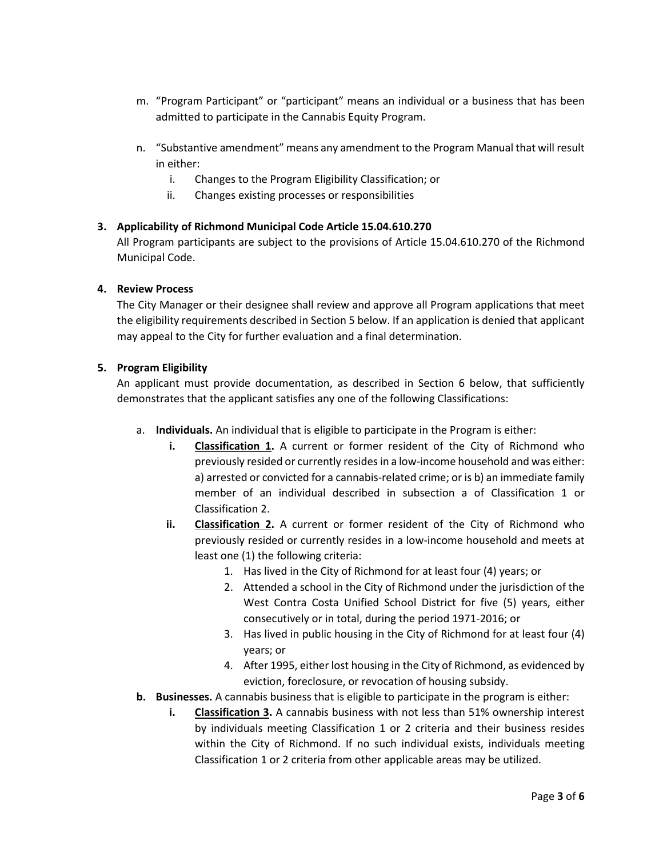- m. "Program Participant" or "participant" means an individual or a business that has been admitted to participate in the Cannabis Equity Program.
- n. "Substantive amendment" means any amendment to the Program Manual that will result in either:
	- i. Changes to the Program Eligibility Classification; or
	- ii. Changes existing processes or responsibilities

# **3. Applicability of Richmond Municipal Code Article 15.04.610.270**

All Program participants are subject to the provisions of Article 15.04.610.270 of the Richmond Municipal Code.

# **4. Review Process**

The City Manager or their designee shall review and approve all Program applications that meet the eligibility requirements described in Section 5 below. If an application is denied that applicant may appeal to the City for further evaluation and a final determination.

# **5. Program Eligibility**

An applicant must provide documentation, as described in Section 6 below, that sufficiently demonstrates that the applicant satisfies any one of the following Classifications:

- a. **Individuals.** An individual that is eligible to participate in the Program is either:
	- **i. Classification 1.** A current or former resident of the City of Richmond who previously resided or currently resides in a low-income household and was either: a) arrested or convicted for a cannabis-related crime; or is b) an immediate family member of an individual described in subsection a of Classification 1 or Classification 2.
	- **ii. Classification 2.** A current or former resident of the City of Richmond who previously resided or currently resides in a low-income household and meets at least one (1) the following criteria:
		- 1. Has lived in the City of Richmond for at least four (4) years; or
		- 2. Attended a school in the City of Richmond under the jurisdiction of the West Contra Costa Unified School District for five (5) years, either consecutively or in total, during the period 1971-2016; or
		- 3. Has lived in public housing in the City of Richmond for at least four (4) years; or
		- 4. After 1995, either lost housing in the City of Richmond, as evidenced by eviction, foreclosure, or revocation of housing subsidy.
- **b. Businesses.** A cannabis business that is eligible to participate in the program is either:
	- **i. Classification 3.** A cannabis business with not less than 51% ownership interest by individuals meeting Classification 1 or 2 criteria and their business resides within the City of Richmond. If no such individual exists, individuals meeting Classification 1 or 2 criteria from other applicable areas may be utilized.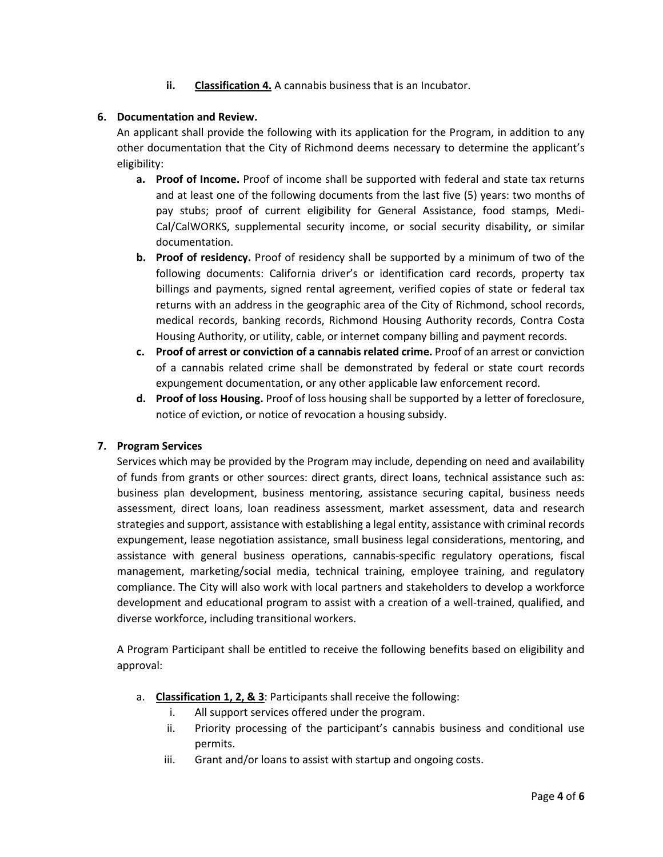**ii. Classification 4.** A cannabis business that is an Incubator.

# **6. Documentation and Review.**

An applicant shall provide the following with its application for the Program, in addition to any other documentation that the City of Richmond deems necessary to determine the applicant's eligibility:

- **a. Proof of Income.** Proof of income shall be supported with federal and state tax returns and at least one of the following documents from the last five (5) years: two months of pay stubs; proof of current eligibility for General Assistance, food stamps, Medi-Cal/CalWORKS, supplemental security income, or social security disability, or similar documentation.
- **b. Proof of residency.** Proof of residency shall be supported by a minimum of two of the following documents: California driver's or identification card records, property tax billings and payments, signed rental agreement, verified copies of state or federal tax returns with an address in the geographic area of the City of Richmond, school records, medical records, banking records, Richmond Housing Authority records, Contra Costa Housing Authority, or utility, cable, or internet company billing and payment records.
- **c. Proof of arrest or conviction of a cannabis related crime.** Proof of an arrest or conviction of a cannabis related crime shall be demonstrated by federal or state court records expungement documentation, or any other applicable law enforcement record.
- **d. Proof of loss Housing.** Proof of loss housing shall be supported by a letter of foreclosure, notice of eviction, or notice of revocation a housing subsidy.

### **7. Program Services**

Services which may be provided by the Program may include, depending on need and availability of funds from grants or other sources: direct grants, direct loans, technical assistance such as: business plan development, business mentoring, assistance securing capital, business needs assessment, direct loans, loan readiness assessment, market assessment, data and research strategies and support, assistance with establishing a legal entity, assistance with criminal records expungement, lease negotiation assistance, small business legal considerations, mentoring, and assistance with general business operations, cannabis-specific regulatory operations, fiscal management, marketing/social media, technical training, employee training, and regulatory compliance. The City will also work with local partners and stakeholders to develop a workforce development and educational program to assist with a creation of a well-trained, qualified, and diverse workforce, including transitional workers.

A Program Participant shall be entitled to receive the following benefits based on eligibility and approval:

- a. **Classification 1, 2, & 3**: Participants shall receive the following:
	- i. All support services offered under the program.
	- ii. Priority processing of the participant's cannabis business and conditional use permits.
	- iii. Grant and/or loans to assist with startup and ongoing costs.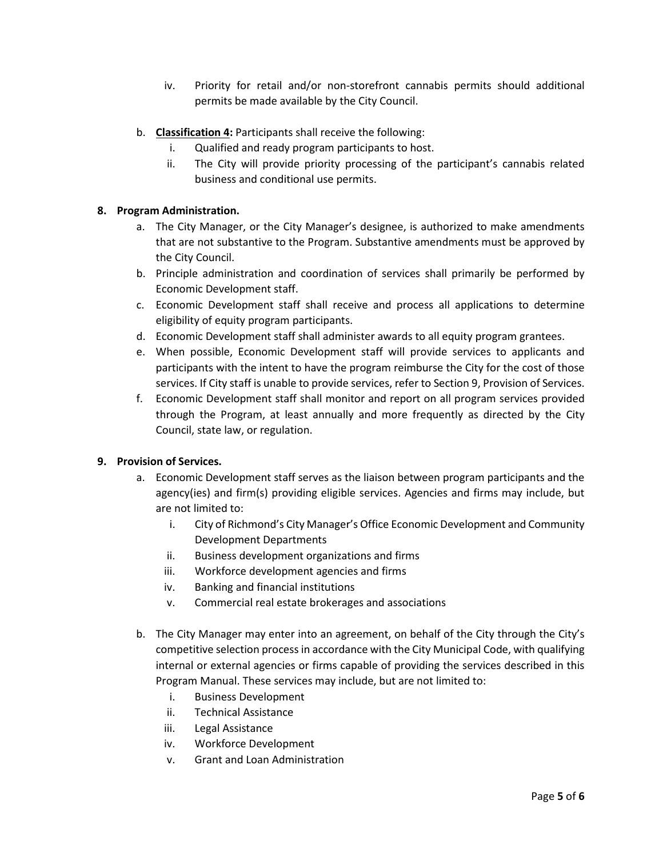- iv. Priority for retail and/or non-storefront cannabis permits should additional permits be made available by the City Council.
- b. **Classification 4:** Participants shall receive the following:
	- i. Qualified and ready program participants to host.
	- ii. The City will provide priority processing of the participant's cannabis related business and conditional use permits.

### **8. Program Administration.**

- a. The City Manager, or the City Manager's designee, is authorized to make amendments that are not substantive to the Program. Substantive amendments must be approved by the City Council.
- b. Principle administration and coordination of services shall primarily be performed by Economic Development staff.
- c. Economic Development staff shall receive and process all applications to determine eligibility of equity program participants.
- d. Economic Development staff shall administer awards to all equity program grantees.
- e. When possible, Economic Development staff will provide services to applicants and participants with the intent to have the program reimburse the City for the cost of those services. If City staff is unable to provide services, refer to Section 9, Provision of Services.
- f. Economic Development staff shall monitor and report on all program services provided through the Program, at least annually and more frequently as directed by the City Council, state law, or regulation.

### **9. Provision of Services.**

- a. Economic Development staff serves as the liaison between program participants and the agency(ies) and firm(s) providing eligible services. Agencies and firms may include, but are not limited to:
	- i. City of Richmond's City Manager's Office Economic Development and Community Development Departments
	- ii. Business development organizations and firms
	- iii. Workforce development agencies and firms
	- iv. Banking and financial institutions
	- v. Commercial real estate brokerages and associations
- b. The City Manager may enter into an agreement, on behalf of the City through the City's competitive selection process in accordance with the City Municipal Code, with qualifying internal or external agencies or firms capable of providing the services described in this Program Manual. These services may include, but are not limited to:
	- i. Business Development
	- ii. Technical Assistance
	- iii. Legal Assistance
	- iv. Workforce Development
	- v. Grant and Loan Administration